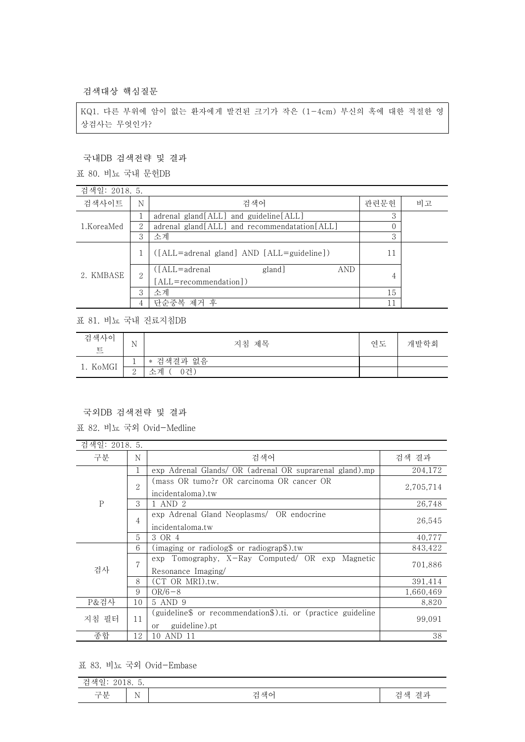검색대상 핵심질문

KQ1. 다른 부위에 암이 없는 환자에게 발견된 크기가 작은 (1-4cm) 부신의 혹에 대한 적절한 영 상검사는 무엇인가?

## 국내DB 검색전략 및 결과

표 80. 비뇨 국내 문헌DB

| 검색일: 2018. 5. |               |                                                    |      |    |
|---------------|---------------|----------------------------------------------------|------|----|
| 검색사이트         | N             | 검색어                                                | 관련문헌 | 비고 |
| 1.KoreaMed    |               | adrenal gland[ALL] and guideline[ALL]              | 3    |    |
|               | $\mathcal{L}$ | adrenal gland[ALL] and recommendatation[ALL]       |      |    |
|               | 3             | 소계                                                 | 3    |    |
| 2. KMBASE     |               | $([ALL = adrenal$ gland] AND $[ALL = guide line])$ | 11   |    |
|               | 2             | ([ALL=adrenal<br>AND<br>gland]                     |      |    |
|               |               | [ALL=recommendation])                              | 4    |    |
|               | 3             | 소계                                                 | 15   |    |
|               |               | 단순중복 제거 후                                          |      |    |

표 81. 비뇨 국내 진료지침DB

| 검색사이<br>$\overline{\mathrm{e}}$ | $\sim$ $\sim$<br>N | 지침 제목     | 연도 | 개발학회 |
|---------------------------------|--------------------|-----------|----|------|
| 1. KoMGI                        | ᅩ                  | * 검색결과 없음 |    |      |
|                                 | $\Omega$<br>↵      | 소계<br>0건. |    |      |

## 국외DB 검색전략 및 결과

표 82. 비뇨 국외 Ovid-Medline

| 검색일: 2018. 5. |               |                                                                                     |           |
|---------------|---------------|-------------------------------------------------------------------------------------|-----------|
| 구분            | N             | 검색어                                                                                 | 검색 결과     |
| $\mathsf{P}$  | 1             | exp Adrenal Glands/ OR (adrenal OR suprarenal gland).mp                             | 204,172   |
|               | $\mathcal{D}$ | (mass OR tumo?r OR carcinoma OR cancer OR                                           | 2,705,714 |
|               | 3             | incidentaloma).tw<br>1 AND 2                                                        | 26,748    |
|               | 4             | exp Adrenal Gland Neoplasms/ OR endocrine<br>incidentaloma.tw                       | 26,545    |
|               | 5             | 3 OR 4                                                                              | 40,777    |
|               | 6             | (imaging or radiolog\$ or radiograp\$).tw                                           | 843,422   |
| 검사            | 7             | exp Tomography, X-Ray Computed/ OR exp Magnetic<br>Resonance Imaging/               | 701,886   |
|               | 8             | (CT OR MRI).tw.                                                                     | 391,414   |
|               | 9             | $OR/6 - 8$                                                                          | 1,660,469 |
| P&검사          | 10            | 5 AND 9                                                                             | 8,820     |
| 지침 필터         | 11            | (guideline\$ or recommendation\$).ti. or (practice guideline<br>guideline).pt<br>or | 99,091    |
| 종합            | 12            | 10 AND 11                                                                           | 38        |

표 83. 비뇨 국외 Ovid-Embase

| $\overline{\phantom{a}}$<br><b>Service</b><br>새<br>∽<br>$\checkmark$<br>≖<br>تستعدد<br><u>2010.</u><br>$\cdot$ . |                                  |                              |                          |
|------------------------------------------------------------------------------------------------------------------|----------------------------------|------------------------------|--------------------------|
| $\overline{ }$ $\overline{ }$ $\overline{ }$<br>$    -$<br>乚                                                     | $\sim$ $\sim$<br>N<br><b>A</b> 1 | $\mathcal{L}$<br>새<br>∸<br>∸ | www.<br>새<br>- 37 L<br>▭ |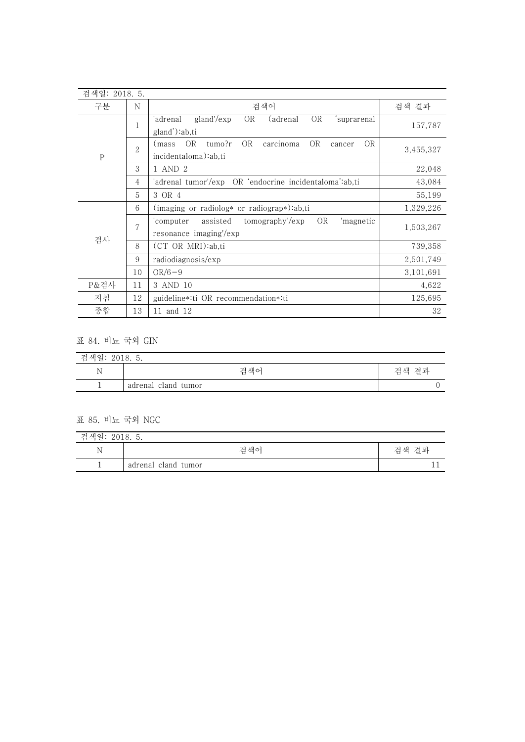| 검색일: 2018. 5. |                |                                                                                                                                     |           |
|---------------|----------------|-------------------------------------------------------------------------------------------------------------------------------------|-----------|
| 구분            | N              | 검색어                                                                                                                                 | 검색 결과     |
| ${\bf P}$     | $\mathbf{1}$   | OR<br>gland'/exp<br><b>OR</b><br>'suprarenal<br>(adrenal<br>'adrenal                                                                | 157,787   |
|               | $\overline{2}$ | gland'):ab,ti<br><b>OR</b><br><b>OR</b><br><b>OR</b><br><b>OR</b><br>carcinoma<br>tumo?r<br>(mass<br>cancer<br>incidentaloma):ab,ti | 3,455,327 |
|               | 3              | 1 AND 2                                                                                                                             | 22,048    |
|               | 4              | 'adrenal tumor'/exp OR 'endocrine incidentaloma':ab,ti                                                                              | 43,084    |
|               | 5              | 3 OR 4                                                                                                                              | 55,199    |
|               | 6              | (imaging or radiolog* or radiograp*):ab,ti                                                                                          | 1,329,226 |
| 검사            | $\overline{7}$ | <b>OR</b><br>assisted<br>tomography'/exp<br>'magnetic<br>'computer<br>resonance imaging'/exp                                        | 1,503,267 |
|               | 8              | (CT OR MRI):ab,ti                                                                                                                   | 739,358   |
|               | 9              | radiodiagnosis/exp                                                                                                                  | 2,501,749 |
|               | 10             | $OR/6-9$                                                                                                                            | 3,101,691 |
| P&검사          | 11             | 3 AND 10                                                                                                                            | 4,622     |
| 지침            | 12             | guideline *: ti OR recommendation *: ti                                                                                             | 125,695   |
| 종합            | 13             | 11 and 12                                                                                                                           | 32        |

## 표 84. 비뇨 국외 GIN

| 검색일<br>2010<br>2010. J. |                     |       |  |
|-------------------------|---------------------|-------|--|
|                         | 검색어                 | 검색 결과 |  |
| ÷                       | adrenal cland tumor |       |  |

## 표 85. 비뇨 국외 NGC

| 검색일: 2018. 5. |                     |       |  |
|---------------|---------------------|-------|--|
| N             | 검색어                 | 검색 결과 |  |
|               | adrenal cland tumor |       |  |